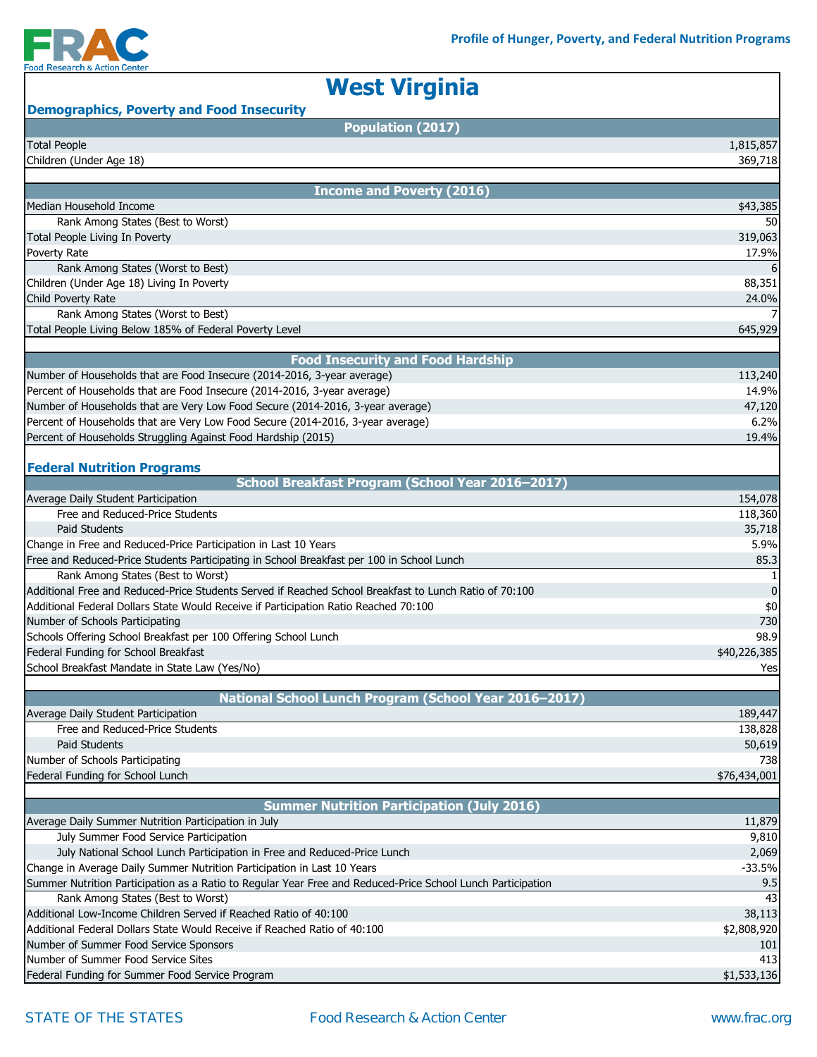

| <b>West Virginia</b>                                                                                        |                  |
|-------------------------------------------------------------------------------------------------------------|------------------|
| <b>Demographics, Poverty and Food Insecurity</b>                                                            |                  |
| Population (2017)                                                                                           |                  |
| <b>Total People</b>                                                                                         | 1,815,857        |
| Children (Under Age 18)                                                                                     | 369,718          |
|                                                                                                             |                  |
| <b>Income and Poverty (2016)</b>                                                                            |                  |
| Median Household Income<br>Rank Among States (Best to Worst)                                                | \$43,385<br>50   |
| Total People Living In Poverty                                                                              |                  |
|                                                                                                             | 319,063<br>17.9% |
| Poverty Rate<br>Rank Among States (Worst to Best)                                                           |                  |
| Children (Under Age 18) Living In Poverty                                                                   | 88,351           |
| Child Poverty Rate                                                                                          | 24.0%            |
| Rank Among States (Worst to Best)                                                                           |                  |
| Total People Living Below 185% of Federal Poverty Level                                                     | 645,929          |
|                                                                                                             |                  |
| <b>Food Insecurity and Food Hardship</b>                                                                    |                  |
| Number of Households that are Food Insecure (2014-2016, 3-year average)                                     | 113,240          |
| Percent of Households that are Food Insecure (2014-2016, 3-year average)                                    | 14.9%            |
| Number of Households that are Very Low Food Secure (2014-2016, 3-year average)                              | 47,120           |
| Percent of Households that are Very Low Food Secure (2014-2016, 3-year average)                             | 6.2%             |
| Percent of Households Struggling Against Food Hardship (2015)                                               | 19.4%            |
|                                                                                                             |                  |
| <b>Federal Nutrition Programs</b>                                                                           |                  |
| School Breakfast Program (School Year 2016-2017)                                                            |                  |
| Average Daily Student Participation                                                                         | 154,078          |
| Free and Reduced-Price Students                                                                             | 118,360          |
| <b>Paid Students</b>                                                                                        | 35,718           |
| Change in Free and Reduced-Price Participation in Last 10 Years                                             | 5.9%             |
| Free and Reduced-Price Students Participating in School Breakfast per 100 in School Lunch                   | 85.3             |
| Rank Among States (Best to Worst)                                                                           |                  |
| Additional Free and Reduced-Price Students Served if Reached School Breakfast to Lunch Ratio of 70:100      | 0                |
| Additional Federal Dollars State Would Receive if Participation Ratio Reached 70:100                        | \$0              |
| Number of Schools Participating                                                                             | 730              |
| Schools Offering School Breakfast per 100 Offering School Lunch                                             | 98.9             |
| Federal Funding for School Breakfast                                                                        | \$40,226,385     |
| School Breakfast Mandate in State Law (Yes/No)                                                              | Yes              |
|                                                                                                             |                  |
| National School Lunch Program (School Year 2016-2017)                                                       |                  |
| Average Daily Student Participation                                                                         | 189,447          |
| Free and Reduced-Price Students                                                                             | 138,828          |
| <b>Paid Students</b>                                                                                        | 50,619           |
| Number of Schools Participating                                                                             | 738              |
| Federal Funding for School Lunch                                                                            | \$76,434,001     |
|                                                                                                             |                  |
| <b>Summer Nutrition Participation (July 2016)</b>                                                           |                  |
| Average Daily Summer Nutrition Participation in July                                                        | 11,879           |
| July Summer Food Service Participation                                                                      | 9,810            |
| July National School Lunch Participation in Free and Reduced-Price Lunch                                    | 2,069            |
| Change in Average Daily Summer Nutrition Participation in Last 10 Years                                     | $-33.5%$         |
| Summer Nutrition Participation as a Ratio to Regular Year Free and Reduced-Price School Lunch Participation | 9.5              |
| Rank Among States (Best to Worst)                                                                           | 43               |
| Additional Low-Income Children Served if Reached Ratio of 40:100                                            | 38,113           |
| Additional Federal Dollars State Would Receive if Reached Ratio of 40:100                                   | \$2,808,920      |
| Number of Summer Food Service Sponsors                                                                      | 101              |
| Number of Summer Food Service Sites                                                                         | 413              |
| Federal Funding for Summer Food Service Program                                                             | \$1,533,136      |